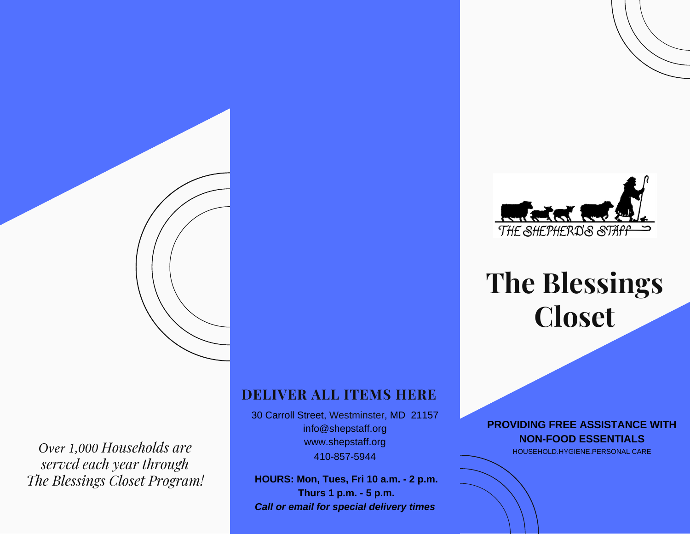

## **DELIVER ALL ITEMS HERE**

30 Carroll Street, Westminster, MD 21157 info@shepstaff.org www.shepstaff.org 410-857-5944

**HOURS: Mon, Tues, Fri 10 a.m. - 2 p.m. Thurs 1 p.m. - 5 p.m.** *Call or email for special delivery times*



# **The Blessings Closet**

**PROVIDING FREE ASSISTANCE WITH NON-FOOD ESSENTIALS**

HOUSEHOLD.HYGIENE.PERSONAL CARE